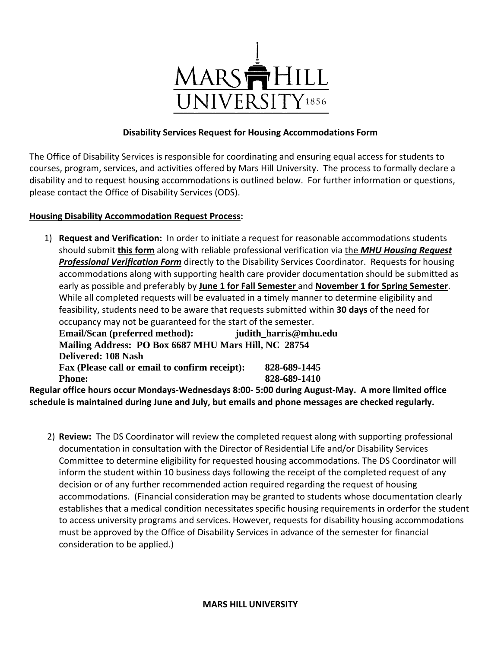

## **Disability Services Request for Housing Accommodations Form**

The Office of Disability Services is responsible for coordinating and ensuring equal access for students to courses, program, services, and activities offered by Mars Hill University. The process to formally declare a disability and to request housing accommodations is outlined below. For further information or questions, please contact the Office of Disability Services (ODS).

## **Housing Disability Accommodation Request Process:**

1) **Request and Verification:** In order to initiate a request for reasonable accommodations students should submit **this form** along with reliable professional verification via the *MHU Housing Request Professional Verification Form* directly to the Disability Services Coordinator. Requests for housing accommodations along with supporting health care provider documentation should be submitted as early as possible and preferably by **June 1 for Fall Semester** and **November 1 for Spring Semester**. While all completed requests will be evaluated in a timely manner to determine eligibility and feasibility, students need to be aware that requests submitted within **30 days** of the need for occupancy may not be guaranteed for the start of the semester. **Email/Scan (preferred method): judith\_harris@mhu.edu Mailing Address: PO Box 6687 MHU Mars Hill, NC 28754 Delivered: 108 Nash Fax (Please call or email to confirm receipt): 828-689-1445 Phone:** 828-689-1410 **Regular office hours occur Mondays-Wednesdays 8:00- 5:00 during August-May. A more limited office** 

**schedule is maintained during June and July, but emails and phone messages are checked regularly.**

 2) **Review:** The DS Coordinator will review the completed request along with supporting professional documentation in consultation with the Director of Residential Life and/or Disability Services Committee to determine eligibility for requested housing accommodations. The DS Coordinator will inform the student within 10 business days following the receipt of the completed request of any decision or of any further recommended action required regarding the request of housing accommodations. (Financial consideration may be granted to students whose documentation clearly establishes that a medical condition necessitates specific housing requirements in orderfor the student to access university programs and services. However, requests for disability housing accommodations must be approved by the Office of Disability Services in advance of the semester for financial consideration to be applied.)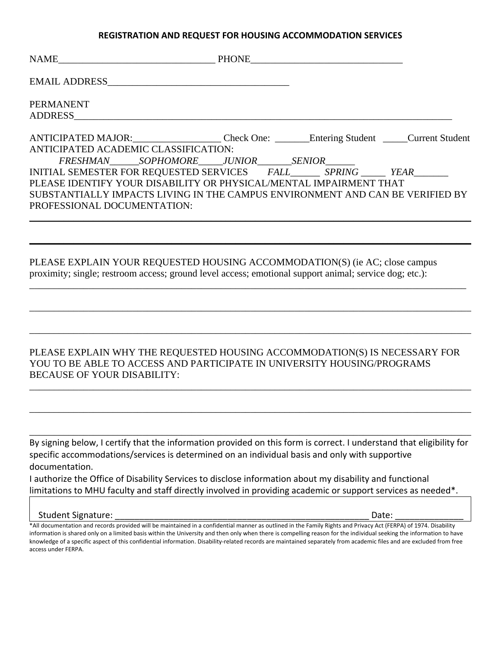#### **REGISTRATION AND REQUEST FOR HOUSING ACCOMMODATION SERVICES**

|                                                                               | PHONE | <u> 1989 - Johann Barbara, martin amerikan basar dan berasal dan berasal dalam basar dalam basar dalam basar dala</u> |  |
|-------------------------------------------------------------------------------|-------|-----------------------------------------------------------------------------------------------------------------------|--|
|                                                                               |       |                                                                                                                       |  |
| <b>PERMANENT</b>                                                              |       |                                                                                                                       |  |
| <b>ADDRESS</b>                                                                |       |                                                                                                                       |  |
| ANTICIPATED MAJOR: Check One: Entering Student Current Student                |       |                                                                                                                       |  |
| ANTICIPATED ACADEMIC CLASSIFICATION:                                          |       |                                                                                                                       |  |
| FRESHMAN_______SOPHOMORE_____JUNIOR________SENIOR_______                      |       |                                                                                                                       |  |
| INITIAL SEMESTER FOR REQUESTED SERVICES FALL SPRING FEAR                      |       |                                                                                                                       |  |
| PLEASE IDENTIFY YOUR DISABILITY OR PHYSICAL/MENTAL IMPAIRMENT THAT            |       |                                                                                                                       |  |
| SUBSTANTIALLY IMPACTS LIVING IN THE CAMPUS ENVIRONMENT AND CAN BE VERIFIED BY |       |                                                                                                                       |  |
| PROFESSIONAL DOCUMENTATION:                                                   |       |                                                                                                                       |  |
|                                                                               |       |                                                                                                                       |  |

 $\mathcal{L}_\mathcal{L} = \mathcal{L}_\mathcal{L} = \mathcal{L}_\mathcal{L} = \mathcal{L}_\mathcal{L} = \mathcal{L}_\mathcal{L} = \mathcal{L}_\mathcal{L} = \mathcal{L}_\mathcal{L} = \mathcal{L}_\mathcal{L} = \mathcal{L}_\mathcal{L} = \mathcal{L}_\mathcal{L} = \mathcal{L}_\mathcal{L} = \mathcal{L}_\mathcal{L} = \mathcal{L}_\mathcal{L} = \mathcal{L}_\mathcal{L} = \mathcal{L}_\mathcal{L} = \mathcal{L}_\mathcal{L} = \mathcal{L}_\mathcal{L}$ 

\_\_\_\_\_\_\_\_\_\_\_\_\_\_\_\_\_\_\_\_\_\_\_\_\_\_\_\_\_\_\_\_\_\_\_\_\_\_\_\_\_\_\_\_\_\_\_\_\_\_\_\_\_\_\_\_\_\_\_\_\_\_\_\_\_\_\_\_\_\_\_\_\_\_\_\_\_\_\_\_\_\_\_\_\_\_\_\_\_

\_\_\_\_\_\_\_\_\_\_\_\_\_\_\_\_\_\_\_\_\_\_\_\_\_\_\_\_\_\_\_\_\_\_\_\_\_\_\_\_\_\_\_\_\_\_\_\_\_\_\_\_\_\_\_\_\_\_\_\_\_\_\_\_\_\_\_\_\_\_\_\_\_\_\_\_\_\_\_\_\_\_\_\_\_\_\_\_\_\_

\_\_\_\_\_\_\_\_\_\_\_\_\_\_\_\_\_\_\_\_\_\_\_\_\_\_\_\_\_\_\_\_\_\_\_\_\_\_\_\_\_\_\_\_\_\_\_\_\_\_\_\_\_\_\_\_\_\_\_\_\_\_\_\_\_\_\_\_\_\_\_\_\_\_\_\_\_\_\_\_\_\_\_\_\_\_\_\_\_\_

## PLEASE EXPLAIN YOUR REQUESTED HOUSING ACCOMMODATION(S) (ie AC; close campus proximity; single; restroom access; ground level access; emotional support animal; service dog; etc.):

PLEASE EXPLAIN WHY THE REQUESTED HOUSING ACCOMMODATION(S) IS NECESSARY FOR YOU TO BE ABLE TO ACCESS AND PARTICIPATE IN UNIVERSITY HOUSING/PROGRAMS BECAUSE OF YOUR DISABILITY:

\_\_\_\_\_\_\_\_\_\_\_\_\_\_\_\_\_\_\_\_\_\_\_\_\_\_\_\_\_\_\_\_\_\_\_\_\_\_\_\_\_\_\_\_\_\_\_\_\_\_\_\_\_\_\_\_\_\_\_\_\_\_\_\_\_\_\_\_\_\_\_\_\_\_\_\_\_\_\_\_\_\_\_\_\_\_\_\_\_\_

\_\_\_\_\_\_\_\_\_\_\_\_\_\_\_\_\_\_\_\_\_\_\_\_\_\_\_\_\_\_\_\_\_\_\_\_\_\_\_\_\_\_\_\_\_\_\_\_\_\_\_\_\_\_\_\_\_\_\_\_\_\_\_\_\_\_\_\_\_\_\_\_\_\_\_\_\_\_\_\_\_\_\_\_\_\_\_\_\_\_

\_\_\_\_\_\_\_\_\_\_\_\_\_\_\_\_\_\_\_\_\_\_\_\_\_\_\_\_\_\_\_\_\_\_\_\_\_\_\_\_\_\_\_\_\_\_\_\_\_\_\_\_\_\_\_\_\_\_\_\_\_\_\_\_\_\_\_\_\_\_\_\_\_\_\_\_\_\_\_\_\_\_\_\_\_\_\_\_\_\_

By signing below, I certify that the information provided on this form is correct. I understand that eligibility for specific accommodations/services is determined on an individual basis and only with supportive documentation.

I authorize the Office of Disability Services to disclose information about my disability and functional limitations to MHU faculty and staff directly involved in providing academic or support services as needed\*.

### Student Signature: \_\_\_\_\_\_\_\_\_\_\_\_\_\_\_\_\_\_\_\_\_\_\_\_\_\_\_\_\_\_\_\_\_\_\_\_\_\_\_\_\_\_\_\_\_\_\_\_\_\_\_\_ Date: \_\_\_\_\_\_\_\_\_\_\_\_\_\_

\*All documentation and records provided will be maintained in a confidential manner as outlined in the Family Rights and Privacy Act (FERPA) of 1974. Disability information is shared only on a limited basis within the University and then only when there is compelling reason for the individual seeking the information to have knowledge of a specific aspect of this confidential information. Disability-related records are maintained separately from academic files and are excluded from free access under FERPA.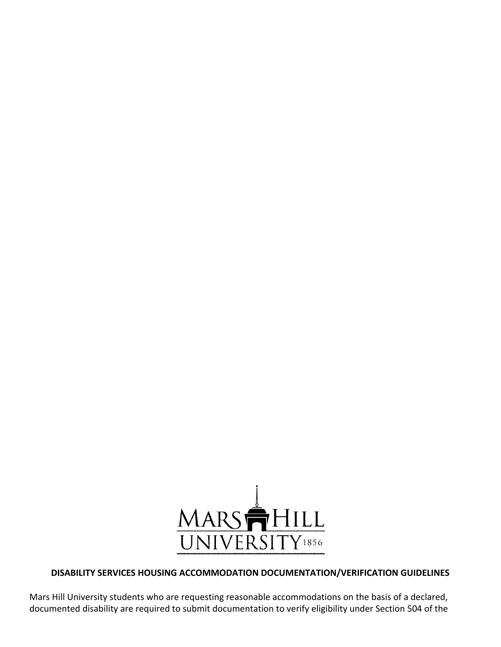

## **DISABILITY SERVICES HOUSING ACCOMMODATION DOCUMENTATION/VERIFICATION GUIDELINES**

Mars Hill University students who are requesting reasonable accommodations on the basis of a declared, documented disability are required to submit documentation to verify eligibility under Section 504 of the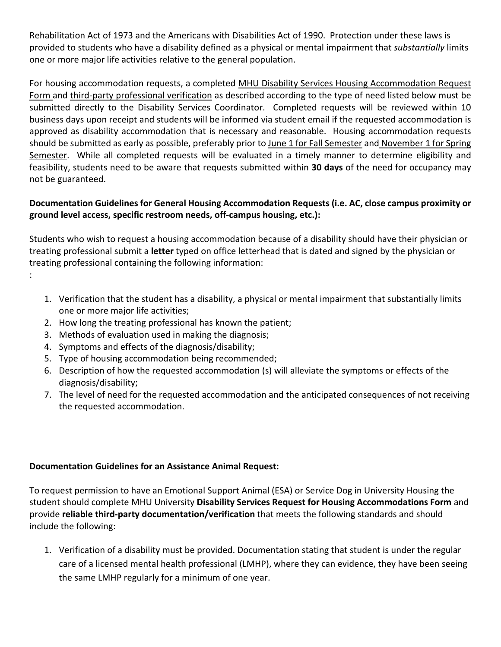Rehabilitation Act of 1973 and the Americans with Disabilities Act of 1990. Protection under these laws is provided to students who have a disability defined as a physical or mental impairment that *substantially* limits one or more major life activities relative to the general population.

For housing accommodation requests, a completed MHU Disability Services Housing Accommodation Request Form and third-party professional verification as described according to the type of need listed below must be submitted directly to the Disability Services Coordinator. Completed requests will be reviewed within 10 business days upon receipt and students will be informed via student email if the requested accommodation is approved as disability accommodation that is necessary and reasonable. Housing accommodation requests should be submitted as early as possible, preferably prior to June 1 for Fall Semester and November 1 for Spring Semester. While all completed requests will be evaluated in a timely manner to determine eligibility and feasibility, students need to be aware that requests submitted within **30 days** of the need for occupancy may not be guaranteed.

# **Documentation Guidelines for General Housing Accommodation Requests (i.e. AC, close campus proximity or ground level access, specific restroom needs, off-campus housing, etc.):**

Students who wish to request a housing accommodation because of a disability should have their physician or treating professional submit a **letter** typed on office letterhead that is dated and signed by the physician or treating professional containing the following information:

- 1. Verification that the student has a disability, a physical or mental impairment that substantially limits one or more major life activities;
- 2. How long the treating professional has known the patient;
- 3. Methods of evaluation used in making the diagnosis;
- 4. Symptoms and effects of the diagnosis/disability;

:

- 5. Type of housing accommodation being recommended;
- 6. Description of how the requested accommodation (s) will alleviate the symptoms or effects of the diagnosis/disability;
- 7. The level of need for the requested accommodation and the anticipated consequences of not receiving the requested accommodation.

# **Documentation Guidelines for an Assistance Animal Request:**

To request permission to have an Emotional Support Animal (ESA) or Service Dog in University Housing the student should complete MHU University **Disability Services Request for Housing Accommodations Form** and provide **reliable third-party documentation/verification** that meets the following standards and should include the following:

1. Verification of a disability must be provided. Documentation stating that student is under the regular care of a licensed mental health professional (LMHP), where they can evidence, they have been seeing the same LMHP regularly for a minimum of one year.